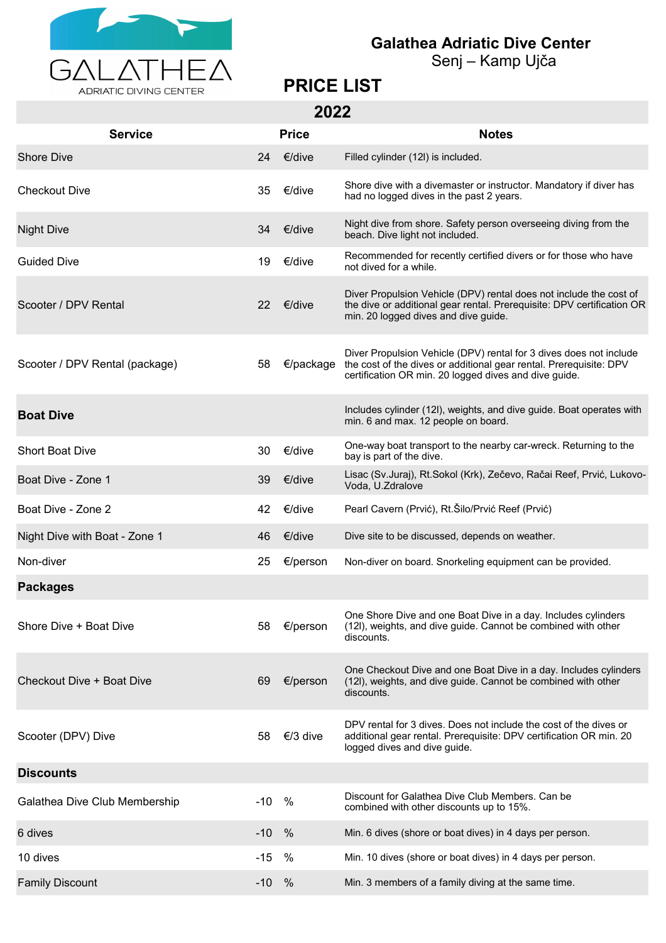

## **Galathea Adriatic Dive Center**

Senj – Kamp Ujča

## **PRICE LIST**

**2022**

| <b>Service</b>                 |       | LVLL<br><b>Price</b> | <b>Notes</b>                                                                                                                                                                                      |
|--------------------------------|-------|----------------------|---------------------------------------------------------------------------------------------------------------------------------------------------------------------------------------------------|
| <b>Shore Dive</b>              | 24    | €/dive               |                                                                                                                                                                                                   |
|                                |       |                      | Filled cylinder (12l) is included.<br>Shore dive with a divemaster or instructor. Mandatory if diver has                                                                                          |
| <b>Checkout Dive</b>           | 35    | €/dive               | had no logged dives in the past 2 years.                                                                                                                                                          |
| <b>Night Dive</b>              | 34    | €/dive               | Night dive from shore. Safety person overseeing diving from the<br>beach. Dive light not included.                                                                                                |
| <b>Guided Dive</b>             | 19    | €/dive               | Recommended for recently certified divers or for those who have<br>not dived for a while.                                                                                                         |
| Scooter / DPV Rental           | 22    | €/dive               | Diver Propulsion Vehicle (DPV) rental does not include the cost of<br>the dive or additional gear rental. Prerequisite: DPV certification OR<br>min. 20 logged dives and dive guide.              |
| Scooter / DPV Rental (package) | 58    | €/package            | Diver Propulsion Vehicle (DPV) rental for 3 dives does not include<br>the cost of the dives or additional gear rental. Prerequisite: DPV<br>certification OR min. 20 logged dives and dive guide. |
| <b>Boat Dive</b>               |       |                      | Includes cylinder (12I), weights, and dive guide. Boat operates with<br>min. 6 and max. 12 people on board.                                                                                       |
| <b>Short Boat Dive</b>         | 30    | €/dive               | One-way boat transport to the nearby car-wreck. Returning to the<br>bay is part of the dive.                                                                                                      |
| Boat Dive - Zone 1             | 39    | €/dive               | Lisac (Sv.Juraj), Rt.Sokol (Krk), Zečevo, Račai Reef, Prvić, Lukovo-<br>Voda, U.Zdralove                                                                                                          |
| Boat Dive - Zone 2             | 42    | €/dive               | Pearl Cavern (Prvić), Rt. Šilo/Prvić Reef (Prvić)                                                                                                                                                 |
| Night Dive with Boat - Zone 1  | 46    | €/dive               | Dive site to be discussed, depends on weather.                                                                                                                                                    |
| Non-diver                      | 25    | €/person             | Non-diver on board. Snorkeling equipment can be provided.                                                                                                                                         |
| <b>Packages</b>                |       |                      |                                                                                                                                                                                                   |
| Shore Dive + Boat Dive         | 58    | €/person             | One Shore Dive and one Boat Dive in a day. Includes cylinders<br>(12l), weights, and dive guide. Cannot be combined with other<br>discounts.                                                      |
| Checkout Dive + Boat Dive      | 69    | €/person             | One Checkout Dive and one Boat Dive in a day. Includes cylinders<br>(12I), weights, and dive guide. Cannot be combined with other<br>discounts.                                                   |
| Scooter (DPV) Dive             | 58    | €/3 dive             | DPV rental for 3 dives. Does not include the cost of the dives or<br>additional gear rental. Prerequisite: DPV certification OR min. 20<br>logged dives and dive guide.                           |
| <b>Discounts</b>               |       |                      |                                                                                                                                                                                                   |
| Galathea Dive Club Membership  | $-10$ | %                    | Discount for Galathea Dive Club Members. Can be<br>combined with other discounts up to 15%.                                                                                                       |
| 6 dives                        | $-10$ | $\%$                 | Min. 6 dives (shore or boat dives) in 4 days per person.                                                                                                                                          |
| 10 dives                       | $-15$ | %                    | Min. 10 dives (shore or boat dives) in 4 days per person.                                                                                                                                         |
| <b>Family Discount</b>         | $-10$ | $\%$                 | Min. 3 members of a family diving at the same time.                                                                                                                                               |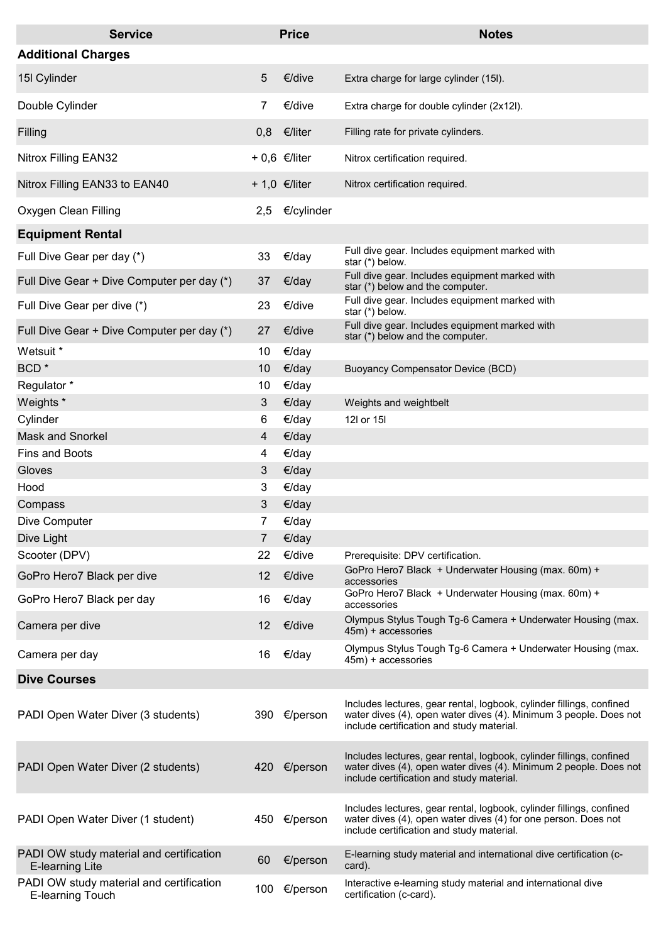| <b>Service</b>                                                     |     | <b>Price</b>        | <b>Notes</b>                                                                                                                                                                           |
|--------------------------------------------------------------------|-----|---------------------|----------------------------------------------------------------------------------------------------------------------------------------------------------------------------------------|
| <b>Additional Charges</b>                                          |     |                     |                                                                                                                                                                                        |
| 15I Cylinder                                                       | 5   | €/dive              | Extra charge for large cylinder (15I).                                                                                                                                                 |
| Double Cylinder                                                    | 7   | €/dive              | Extra charge for double cylinder (2x12l).                                                                                                                                              |
| Filling                                                            | 0,8 | €/liter             | Filling rate for private cylinders.                                                                                                                                                    |
| Nitrox Filling EAN32                                               |     | $+0,6$ $\in$ /liter | Nitrox certification required.                                                                                                                                                         |
| Nitrox Filling EAN33 to EAN40                                      |     | + 1,0 $€/$ liter    | Nitrox certification required.                                                                                                                                                         |
| Oxygen Clean Filling                                               | 2,5 | €/cylinder          |                                                                                                                                                                                        |
| <b>Equipment Rental</b>                                            |     |                     |                                                                                                                                                                                        |
| Full Dive Gear per day (*)                                         | 33  | €/day               | Full dive gear. Includes equipment marked with<br>star (*) below.                                                                                                                      |
| Full Dive Gear + Dive Computer per day (*)                         | 37  | €/day               | Full dive gear. Includes equipment marked with<br>star (*) below and the computer.                                                                                                     |
| Full Dive Gear per dive (*)                                        | 23  | €/dive              | Full dive gear. Includes equipment marked with<br>star (*) below.                                                                                                                      |
| Full Dive Gear + Dive Computer per day (*)                         | 27  | €/dive              | Full dive gear. Includes equipment marked with<br>star (*) below and the computer.                                                                                                     |
| Wetsuit *                                                          | 10  | €/day               |                                                                                                                                                                                        |
| BCD <sup>*</sup>                                                   | 10  | €/day               | <b>Buoyancy Compensator Device (BCD)</b>                                                                                                                                               |
| Regulator*                                                         | 10  | €/day               |                                                                                                                                                                                        |
| Weights *                                                          | 3   | €/day               | Weights and weightbelt                                                                                                                                                                 |
| Cylinder                                                           | 6   | €/day               | 12l or 15l                                                                                                                                                                             |
| <b>Mask and Snorkel</b>                                            | 4   | €/day               |                                                                                                                                                                                        |
| <b>Fins and Boots</b>                                              | 4   | €/day               |                                                                                                                                                                                        |
| Gloves                                                             | 3   | €/day               |                                                                                                                                                                                        |
| Hood                                                               | 3   | €/day               |                                                                                                                                                                                        |
| Compass                                                            | 3   | €/day               |                                                                                                                                                                                        |
| Dive Computer                                                      | 7   | €/day               |                                                                                                                                                                                        |
| Dive Light                                                         | 7   | €/day               |                                                                                                                                                                                        |
| Scooter (DPV)                                                      | 22  | €/dive              | Prerequisite: DPV certification.                                                                                                                                                       |
| GoPro Hero7 Black per dive                                         | 12  | €/dive              | GoPro Hero7 Black + Underwater Housing (max. 60m) +<br>accessories                                                                                                                     |
| GoPro Hero7 Black per day                                          | 16  | €/day               | GoPro Hero7 Black + Underwater Housing (max. 60m) +<br>accessories                                                                                                                     |
| Camera per dive                                                    | 12  | €/dive              | Olympus Stylus Tough Tg-6 Camera + Underwater Housing (max.<br>45m) + accessories                                                                                                      |
| Camera per day                                                     | 16  | €/day               | Olympus Stylus Tough Tg-6 Camera + Underwater Housing (max.<br>45m) + accessories                                                                                                      |
| <b>Dive Courses</b>                                                |     |                     |                                                                                                                                                                                        |
| PADI Open Water Diver (3 students)                                 | 390 | €/person            | Includes lectures, gear rental, logbook, cylinder fillings, confined<br>water dives (4), open water dives (4). Minimum 3 people. Does not<br>include certification and study material. |
| PADI Open Water Diver (2 students)                                 | 420 | €/person            | Includes lectures, gear rental, logbook, cylinder fillings, confined<br>water dives (4), open water dives (4). Minimum 2 people. Does not<br>include certification and study material. |
| PADI Open Water Diver (1 student)                                  |     | 450 €/person        | Includes lectures, gear rental, logbook, cylinder fillings, confined<br>water dives (4), open water dives (4) for one person. Does not<br>include certification and study material.    |
| PADI OW study material and certification<br><b>E-learning Lite</b> | 60  | €/person            | E-learning study material and international dive certification (c-<br>card).                                                                                                           |
| PADI OW study material and certification<br>E-learning Touch       | 100 | €/person            | Interactive e-learning study material and international dive<br>certification (c-card).                                                                                                |